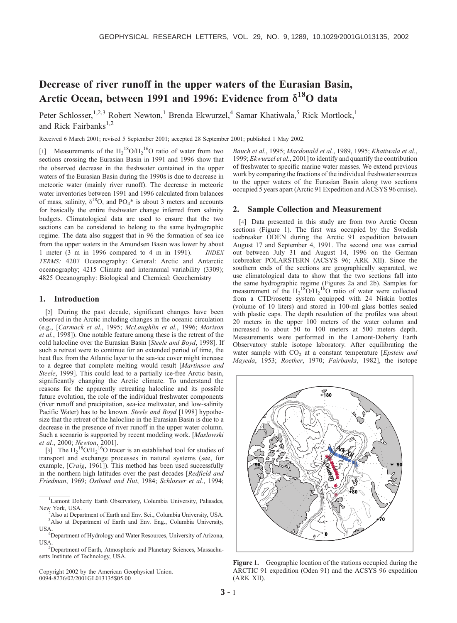# Decrease of river runoff in the upper waters of the Eurasian Basin, Arctic Ocean, between 1991 and 1996: Evidence from  $\delta^{18}$ O data

Peter Schlosser,<sup>1,2,3</sup> Robert Newton,<sup>1</sup> Brenda Ekwurzel,<sup>4</sup> Samar Khatiwala,<sup>5</sup> Rick Mortlock,<sup>1</sup> and Rick Fairbanks<sup>1,2</sup>

Received 6 March 2001; revised 5 September 2001; accepted 28 September 2001; published 1 May 2002.

[1] Measurements of the  $H_2^{18}O/H_2^{16}O$  ratio of water from two sections crossing the Eurasian Basin in 1991 and 1996 show that the observed decrease in the freshwater contained in the upper waters of the Eurasian Basin during the 1990s is due to decrease in meteoric water (mainly river runoff). The decrease in meteoric water inventories between 1991 and 1996 calculated from balances of mass, salinity,  $\delta^{18}O$ , and PO<sub>4</sub>\* is about 3 meters and accounts for basically the entire freshwater change inferred from salinity budgets. Climatological data are used to ensure that the two sections can be considered to belong to the same hydrographic regime. The data also suggest that in 96 the formation of sea ice from the upper waters in the Amundsen Basin was lower by about 1 meter (3 m in 1996 compared to 4 m in 1991). INDEX TERMS: 4207 Oceanography: General: Arctic and Antarctic oceanography; 4215 Climate and interannual variability (3309); 4825 Oceanography: Biological and Chemical: Geochemistry

### 1. Introduction

[2] During the past decade, significant changes have been observed in the Arctic including changes in the oceanic circulation (e.g., [Carmack et al., 1995; McLaughlin et al., 1996; Morison et al., 1998]). One notable feature among these is the retreat of the cold halocline over the Eurasian Basin [Steele and Boyd, 1998]. If such a retreat were to continue for an extended period of time, the heat flux from the Atlantic layer to the sea-ice cover might increase to a degree that complete melting would result [Martinson and Steele, 1999]. This could lead to a partially ice-free Arctic basin, significantly changing the Arctic climate. To understand the reasons for the apparently retreating halocline and its possible future evolution, the role of the individual freshwater components (river runoff and precipitation, sea-ice meltwater, and low-salinity Pacific Water) has to be known. Steele and Boyd [1998] hypothesize that the retreat of the halocline in the Eurasian Basin is due to a decrease in the presence of river runoff in the upper water column. Such a scenario is supported by recent modeling work. [Maslowski et al., 2000; Newton, 2001].

[3] The  $\text{H}_2$ <sup>18</sup>O/ $\text{H}_2$ <sup>16</sup>O tracer is an established tool for studies of transport and exchange processes in natural systems (see, for example, [Craig, 1961]). This method has been used successfully in the northern high latitudes over the past decades [Redfield and Friedman, 1969; Ostlund and Hut, 1984; Schlosser et al., 1994;

Copyright 2002 by the American Geophysical Union. 0094-8276/02/2001GL013135\$05.00

Bauch et al., 1995; Macdonald et al., 1989, 1995; Khatiwala et al., 1999; Ekwurzel et al., 2001] to identify and quantify the contribution of freshwater to specific marine water masses. We extend previous work by comparing the fractions of the individual freshwater sources to the upper waters of the Eurasian Basin along two sections occupied 5 years apart (Arctic 91 Expedition and ACSYS 96 cruise).

### 2. Sample Collection and Measurement

[4] Data presented in this study are from two Arctic Ocean sections (Figure 1). The first was occupied by the Swedish icebreaker ODEN during the Arctic 91 expedition between August 17 and September 4, 1991. The second one was carried out between July 31 and August 14, 1996 on the German icebreaker POLARSTERN (ACSYS 96; ARK XII). Since the southern ends of the sections are geographically separated, we use climatological data to show that the two sections fall into the same hydrographic regime (Figures 2a and 2b). Samples for measurement of the  $H_2^{18}O/H_2^{16}O$  ratio of water were collected from a CTD/rosette system equipped with 24 Niskin bottles (volume of 10 liters) and stored in 100-ml glass bottles sealed with plastic caps. The depth resolution of the profiles was about 20 meters in the upper 100 meters of the water column and increased to about 50 to 100 meters at 500 meters depth. Measurements were performed in the Lamont-Doherty Earth Observatory stable isotope laboratory. After equilibrating the water sample with  $CO<sub>2</sub>$  at a constant temperature [Epstein and Mayeda, 1953; Roether, 1970; Fairbanks, 1982], the isotope



Figure 1. Geographic location of the stations occupied during the ARCTIC 91 expedition (Oden 91) and the ACSYS 96 expedition (ARK XII).

<sup>&</sup>lt;sup>1</sup>Lamont Doherty Earth Observatory, Columbia University, Palisades, New York, USA.

<sup>&</sup>lt;sup>2</sup>Also at Department of Earth and Env. Sci., Columbia University, USA. <sup>3</sup>Also at Department of Earth and Env. Eng., Columbia University, USA

<sup>&</sup>lt;sup>4</sup>Department of Hydrology and Water Resources, University of Arizona,

USA. <sup>5</sup> Department of Earth, Atmospheric and Planetary Sciences, Massachusetts Institute of Technology, USA.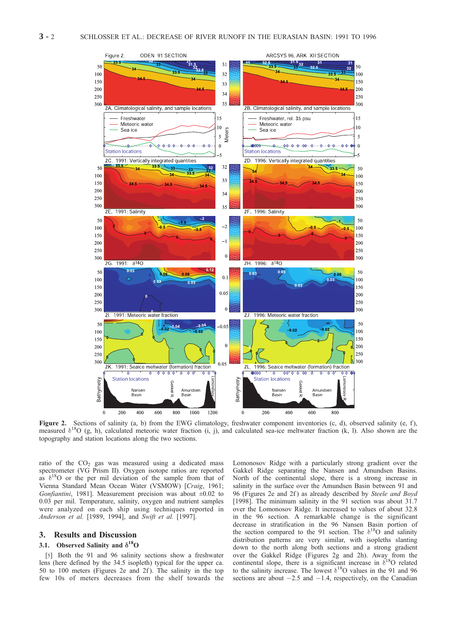

Figure 2. Sections of salinity (a, b) from the EWG climatology, freshwater component inventories (c, d), observed salinity (e, f), measured  $\delta^{18}O$  (g, h), calculated meteoric water fraction (i, j), and calculated sea-ice meltwater fraction (k, l). Also shown are the topography and station locations along the two sections.

ratio of the  $CO<sub>2</sub>$  gas was measured using a dedicated mass spectrometer (VG Prism II). Oxygen isotope ratios are reported as  $\delta^{18}$ O or the per mil deviation of the sample from that of Vienna Standard Mean Ocean Water (VSMOW) [Craig, 1961; Gonfiantini, 1981]. Measurement precision was about  $\pm 0.02$  to 0.03 per mil. Temperature, salinity, oxygen and nutrient samples were analyzed on each ship using techniques reported in Anderson et al. [1989, 1994], and Swift et al. [1997].

# 3. Results and Discussion

### 3.1. Observed Salinity and  $\delta^{18}$ O

[5] Both the 91 and 96 salinity sections show a freshwater lens (here defined by the 34.5 isopleth) typical for the upper ca. 50 to 100 meters (Figures 2e and 2f ). The salinity in the top few 10s of meters decreases from the shelf towards the

Lomonosov Ridge with a particularly strong gradient over the Gakkel Ridge separating the Nansen and Amundsen Basins. North of the continental slope, there is a strong increase in salinity in the surface over the Amundsen Basin between 91 and 96 (Figures 2e and 2f) as already described by Steele and Boyd [1998]. The minimum salinity in the 91 section was about 31.7 over the Lomonosov Ridge. It increased to values of about 32.8 in the 96 section. A remarkable change is the significant decrease in stratification in the 96 Nansen Basin portion of the section compared to the 91 section. The  $\delta^{18}$ O and salinity distribution patterns are very similar, with isopleths slanting down to the north along both sections and a strong gradient over the Gakkel Ridge (Figures 2g and 2h). Away from the continental slope, there is a significant increase in  $\delta^{18}O$  related to the salinity increase. The lowest  $\delta^{18}$ O values in the 91 and 96 sections are about  $-2.5$  and  $-1.4$ , respectively, on the Canadian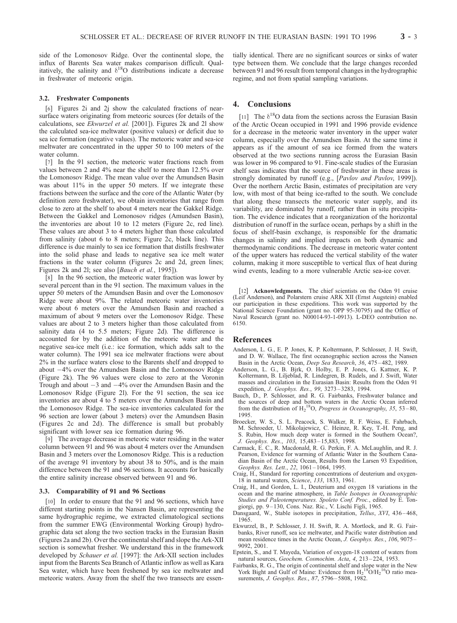side of the Lomonosov Ridge. Over the continental slope, the influx of Barents Sea water makes comparison difficult. Qualitatively, the salinity and  $\delta^{18}O$  distributions indicate a decrease in freshwater of meteoric origin.

#### 3.2. Freshwater Components

[6] Figures 2i and 2j show the calculated fractions of nearsurface waters originating from meteoric sources (for details of the calculations, see Ekwurzel et al. [2001]). Figures 2k and 2l show the calculated sea-ice meltwater (positive values) or deficit due to sea ice formation (negative values). The meteoric water and sea-ice meltwater are concentrated in the upper 50 to 100 meters of the water column.

[7] In the 91 section, the meteoric water fractions reach from values between 2 and 4% near the shelf to more than 12.5% over the Lomonosov Ridge. The mean value over the Amundsen Basin was about 11% in the upper 50 meters. If we integrate these fractions between the surface and the core of the Atlantic Water (by definition zero freshwater), we obtain inventories that range from close to zero at the shelf to about 4 meters near the Gakkel Ridge. Between the Gakkel and Lomonosov ridges (Amundsen Basin), the inventories are about 10 to 12 meters (Figure 2c, red line). These values are about 3 to 4 meters higher than those calculated from salinity (about 6 to 8 meters; Figure 2c, black line). This difference is due mainly to sea ice formation that distills freshwater into the solid phase and leads to negative sea ice melt water fractions in the water column (Figures 2c and 2d, green lines; Figures 2k and 2l; see also [Bauch et al., 1995]).

[8] In the 96 section, the meteoric water fraction was lower by several percent than in the 91 section. The maximum values in the upper 50 meters of the Amundsen Basin and over the Lomonosov Ridge were about 9%. The related meteoric water inventories were about 6 meters over the Amundsen Basin and reached a maximum of about 9 meters over the Lomonosov Ridge. These values are about 2 to 3 meters higher than those calculated from salinity data (4 to 5.5 meters; Figure 2d). The difference is accounted for by the addition of the meteoric water and the negative sea-ice melt (i.e.: ice formation, which adds salt to the water column). The 1991 sea ice meltwater fractions were about 2% in the surface waters close to the Barents shelf and dropped to about  $-4\%$  over the Amundsen Basin and the Lomonosov Ridge (Figure 2k). The 96 values were close to zero at the Voronin Trough and about  $-3$  and  $-4\%$  over the Amundsen Basin and the Lomonosov Ridge (Figure 2l). For the 91 section, the sea ice inventories are about 4 to 5 meters over the Amundsen Basin and the Lomonosov Ridge. The sea-ice inventories calculated for the 96 section are lower (about 3 meters) over the Amundsen Basin (Figures 2c and 2d). The difference is small but probably significant with lower sea ice formation during 96.

[9] The average decrease in meteoric water residing in the water column between 91 and 96 was about 4 meters over the Amundsen Basin and 3 meters over the Lomonosov Ridge. This is a reduction of the average 91 inventory by about 38 to 50%, and is the main difference between the 91 and 96 sections. It accounts for basically the entire salinity increase observed between 91 and 96.

#### 3.3. Comparability of 91 and 96 Sections

[10] In order to ensure that the 91 and 96 sections, which have different starting points in the Nansen Basin, are representing the same hydrographic regime, we extracted climatological sections from the summer EWG (Environmental Working Group) hydrographic data set along the two section tracks in the Eurasian Basin (Figures 2a and 2b). Over the continental shelf and slope the Ark-XII section is somewhat fresher. We understand this in the framework developed by Schauer et al. [1997]: the Ark-XII section includes input from the Barents Sea Branch of Atlantic inflow as well as Kara Sea water, which have been freshened by sea ice meltwater and meteoric waters. Away from the shelf the two transects are essen-

tially identical. There are no significant sources or sinks of water type between them. We conclude that the large changes recorded between 91 and 96 result from temporal changes in the hydrographic regime, and not from spatial sampling variations.

## 4. Conclusions

[11] The  $\delta^{18}$ O data from the sections across the Eurasian Basin of the Arctic Ocean occupied in 1991 and 1996 provide evidence for a decrease in the meteoric water inventory in the upper water column, especially over the Amundsen Basin. At the same time it appears as if the amount of sea ice formed from the waters observed at the two sections running across the Eurasian Basin was lower in 96 compared to 91. Fine-scale studies of the Eurasian shelf seas indicates that the source of freshwater in these areas is strongly dominated by runoff (e.g., [Pavlov and Pavlov, 1999]). Over the northern Arctic Basin, estimates of precipitation are very low, with most of that being ice-rafted to the south. We conclude that along these transects the meteoric water supply, and its variability, are dominated by runoff, rather than in situ precipitation. The evidence indicates that a reorganization of the horizontal distribution of runoff in the surface ocean, perhaps by a shift in the focus of shelf-basin exchange, is responsible for the dramatic changes in salinity and implied impacts on both dynamic and thermodynamic conditions. The decrease in meteoric water content of the upper waters has reduced the vertical stability of the water column, making it more susceptible to vertical flux of heat during wind events, leading to a more vulnerable Arctic sea-ice cover.

[12] **Acknowledgments.** The chief scientists on the Oden 91 cruise (Leif Anderson), and Polarstern cruise ARK XII (Ernst Augstein) enabled our participation in these expeditions. This work was supported by the National Science Foundation (grant no. OPP 95-30795) and the Office of Naval Research (grant no. N00014-93-1-0913). L-DEO contribution no. 6150.

### References

- Anderson, L. G., E. P. Jones, K. P. Koltermann, P. Schlosser, J. H. Swift, and D. W. Wallace, The first oceanographic section across the Nansen Basin in the Arctic Ocean, Deep Sea Research, 36, 475 – 482, 1989.
- Anderson, L. G., B. Bjrk, O. Holby, E. P. Jones, G. Kattner, K. P. Koltermann, B. Liljeblad, R. Lindegren, B. Rudels, and J. Swift, Water masses and circulation in the Eurasian Basin: Results from the Oden 91 expedition, J. Geophys. Res., 99, 3273 – 3283, 1994.
- Bauch, D., P. Schlosser, and R. G. Fairbanks, Freshwater balance and the sources of deep and bottom waters in the Arctic Ocean inferred from the distribution of  $H_2^{18}O$ , Progress in Oceanography, 35, 53–80, 1995.
- Broecker, W. S., S. L. Peacock, S. Walker, R. F. Weiss, E. Fahrbach, M. Schroeder, U. Mikolajewicz, C. Heinze, R. Key, T.-H. Peng, and S. Rubin, How much deep water is formed in the Southern Ocean?, J. Geophys. Res., 103, 15,483 – 15,883, 1998.
- Carmack, E. C., R. Macdonald, R. G. Perkin, F. A. McLaughlin, and R. J. Pearson, Evidence for warming of Atlantic Water in the Southern Canadian Basin of the Arctic Ocean, Results from the Larsen 93 Expedition, Geophys. Res. Lett., 22, 1061-1064, 1995.
- Craig, H., Standard for reporting concentrations of deuterium and oxygen-18 in natural waters, Science, 133, 1833, 1961.
- Craig, H., and Gordon, L. I., Deuterium and oxygen 18 variations in the ocean and the marine atmosphere, in Table Isotopes in Oceanographic Studies and Paleotemperatures. Spoleto Conf. Proc., edited by E. Tongiorgi, pp. 9 – 130, Cons. Naz. Ric., V. Lischi Figli, 1965.
- Dansgaard, W., Stable isotopes in precipitation, Tellus, XVI, 436-468, 1965.
- Ekwurzel, B., P. Schlosser, J. H. Swift, R. A. Mortlock, and R. G. Fairbanks, River runoff, sea ice meltwater, and Pacific water distribution and mean residence times in the Arctic Ocean, J. Geophys. Res., 106, 9075 – 9092, 2001.
- Epstein, S., and T. Mayeda, Variation of oxygen-18 content of waters from natural sources, Geochem. Cosmochim. Acta, 4, 213 – 224, 1953.
- Fairbanks, R. G., The origin of continental shelf and slope water in the New York Bight and Gulf of Maine: Evidence from  $H_2^{18}O/H_2^{16}O$  ratio measurements, *J. Geophys. Res.*, 87, 5796-5808, 1982.